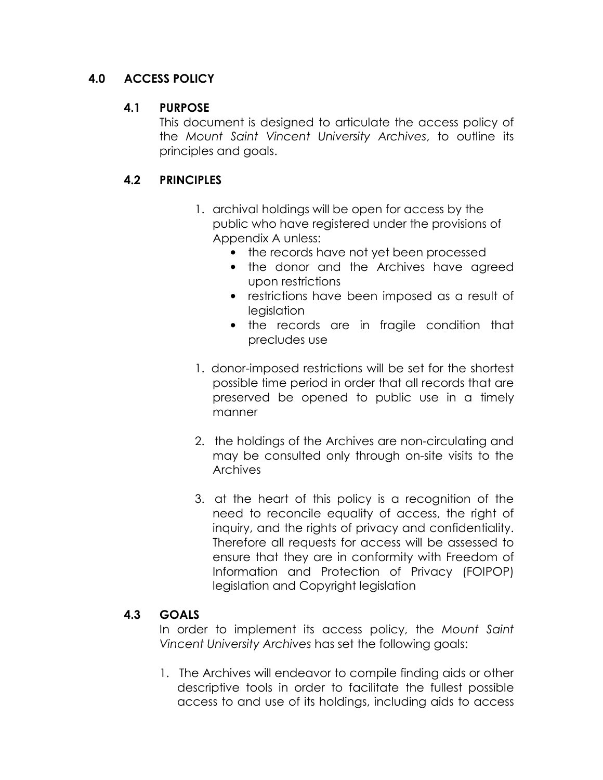# 4.0 ACCESS POLICY

## 4.1 PURPOSE

This document is designed to articulate the access policy of the Mount Saint Vincent University Archives, to outline its principles and goals.

# 4.2 PRINCIPLES

- 1. archival holdings will be open for access by the public who have registered under the provisions of Appendix A unless:
	- the records have not yet been processed
	- the donor and the Archives have agreed upon restrictions
	- restrictions have been imposed as a result of leaislation
	- the records are in fragile condition that precludes use
- 1. donor-imposed restrictions will be set for the shortest possible time period in order that all records that are preserved be opened to public use in a timely manner
- 2. the holdings of the Archives are non-circulating and may be consulted only through on-site visits to the Archives
- 3. at the heart of this policy is a recognition of the need to reconcile equality of access, the right of inquiry, and the rights of privacy and confidentiality. Therefore all requests for access will be assessed to ensure that they are in conformity with Freedom of Information and Protection of Privacy (FOIPOP) legislation and Copyright legislation

# 4.3 GOALS

In order to implement its access policy, the Mount Saint Vincent University Archives has set the following goals:

1. The Archives will endeavor to compile finding aids or other descriptive tools in order to facilitate the fullest possible access to and use of its holdings, including aids to access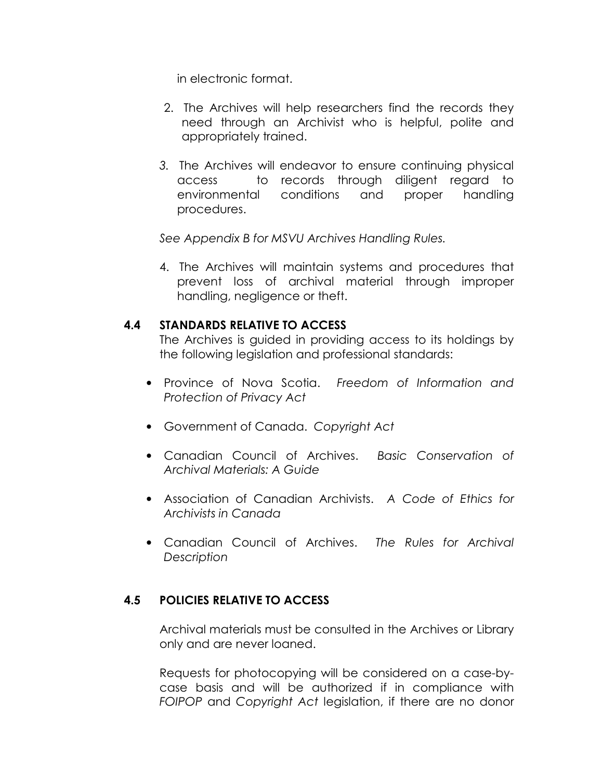in electronic format.

- 2. The Archives will help researchers find the records they need through an Archivist who is helpful, polite and appropriately trained.
- 3. The Archives will endeavor to ensure continuing physical access to records through diligent regard to environmental conditions and proper handling procedures.

See Appendix B for MSVU Archives Handling Rules.

4. The Archives will maintain systems and procedures that prevent loss of archival material through improper handling, negligence or theft.

### 4.4 STANDARDS RELATIVE TO ACCESS

The Archives is guided in providing access to its holdings by the following legislation and professional standards:

- Province of Nova Scotia. Freedom of Information and Protection of Privacy Act
- Government of Canada. Copyright Act
- Canadian Council of Archives. Basic Conservation of Archival Materials: A Guide
- Association of Canadian Archivists. A Code of Ethics for Archivists in Canada
- Canadian Council of Archives. The Rules for Archival Description

# 4.5 POLICIES RELATIVE TO ACCESS

Archival materials must be consulted in the Archives or Library only and are never loaned.

Requests for photocopying will be considered on a case-bycase basis and will be authorized if in compliance with FOIPOP and Copyright Act legislation, if there are no donor